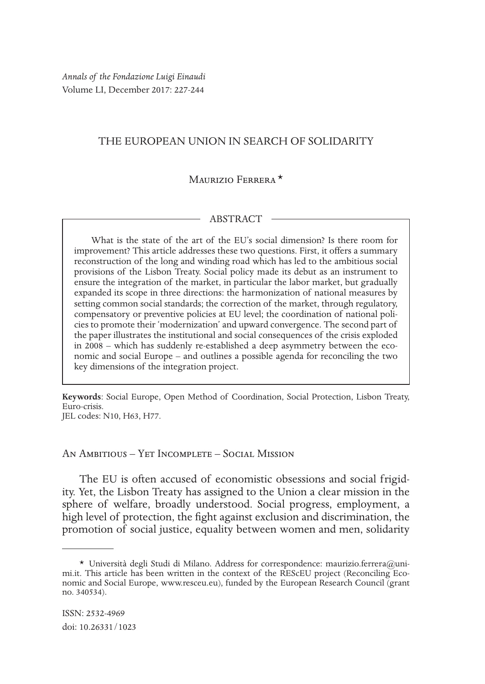*Annals of the Fondazione Luigi Einaudi* Volume LI, December 2017: 227-244

### THE EUROPEAN UNION IN SEARCH OF SOLIDARITY

### Maurizio Ferrera \*

#### ABSTRACT

What is the state of the art of the EU's social dimension? Is there room for improvement? This article addresses these two questions. First, it offers a summary reconstruction of the long and winding road which has led to the ambitious social provisions of the Lisbon Treaty. Social policy made its debut as an instrument to ensure the integration of the market, in particular the labor market, but gradually expanded its scope in three directions: the harmonization of national measures by setting common social standards; the correction of the market, through regulatory, compensatory or preventive policies at EU level; the coordination of national policies to promote their 'modernization' and upward convergence. The second part of the paper illustrates the institutional and social consequences of the crisis exploded in 2008 – which has suddenly re-established a deep asymmetry between the economic and social Europe – and outlines a possible agenda for reconciling the two key dimensions of the integration project.

**Keywords**: Social Europe, Open Method of Coordination, Social Protection, Lisbon Treaty, Euro-crisis. JEL codes: N10, H63, H77.

An Ambitious – Yet Incomplete – Social Mission

The EU is often accused of economistic obsessions and social frigidity. Yet, the Lisbon Treaty has assigned to the Union a clear mission in the sphere of welfare, broadly understood. Social progress, employment, a high level of protection, the fight against exclusion and discrimination, the promotion of social justice, equality between women and men, solidarity

<sup>\*</sup> Università degli Studi di Milano. Address for correspondence: maurizio.ferrera@unimi.it. This article has been written in the context of the REScEU project (Reconciling Economic and Social Europe, www.resceu.eu), funded by the European Research Council (grant no. 340534).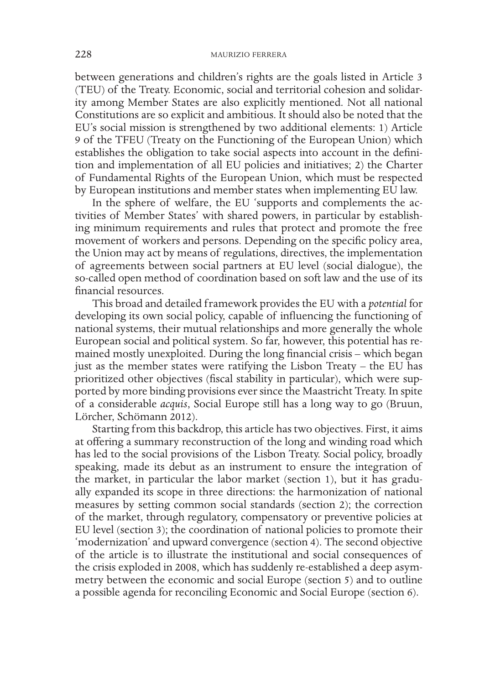between generations and children's rights are the goals listed in Article 3 (TEU) of the Treaty. Economic, social and territorial cohesion and solidarity among Member States are also explicitly mentioned. Not all national Constitutions are so explicit and ambitious. It should also be noted that the EU's social mission is strengthened by two additional elements: 1) Article 9 of the TFEU (Treaty on the Functioning of the European Union) which establishes the obligation to take social aspects into account in the definition and implementation of all EU policies and initiatives; 2) the Charter of Fundamental Rights of the European Union, which must be respected by European institutions and member states when implementing EU law.

In the sphere of welfare, the EU 'supports and complements the activities of Member States' with shared powers, in particular by establishing minimum requirements and rules that protect and promote the free movement of workers and persons. Depending on the specific policy area, the Union may act by means of regulations, directives, the implementation of agreements between social partners at EU level (social dialogue), the so-called open method of coordination based on soft law and the use of its financial resources.

This broad and detailed framework provides the EU with a *potential* for developing its own social policy, capable of influencing the functioning of national systems, their mutual relationships and more generally the whole European social and political system. So far, however, this potential has remained mostly unexploited. During the long financial crisis – which began just as the member states were ratifying the Lisbon Treaty – the EU has prioritized other objectives (fiscal stability in particular), which were supported by more binding provisions ever since the Maastricht Treaty. In spite of a considerable *acquis*, Social Europe still has a long way to go (Bruun, Lörcher, Schömann 2012).

Starting from this backdrop, this article has two objectives. First, it aims at offering a summary reconstruction of the long and winding road which has led to the social provisions of the Lisbon Treaty. Social policy, broadly speaking, made its debut as an instrument to ensure the integration of the market, in particular the labor market (section 1), but it has gradually expanded its scope in three directions: the harmonization of national measures by setting common social standards (section 2); the correction of the market, through regulatory, compensatory or preventive policies at EU level (section 3); the coordination of national policies to promote their 'modernization' and upward convergence (section 4). The second objective of the article is to illustrate the institutional and social consequences of the crisis exploded in 2008, which has suddenly re-established a deep asymmetry between the economic and social Europe (section 5) and to outline a possible agenda for reconciling Economic and Social Europe (section 6).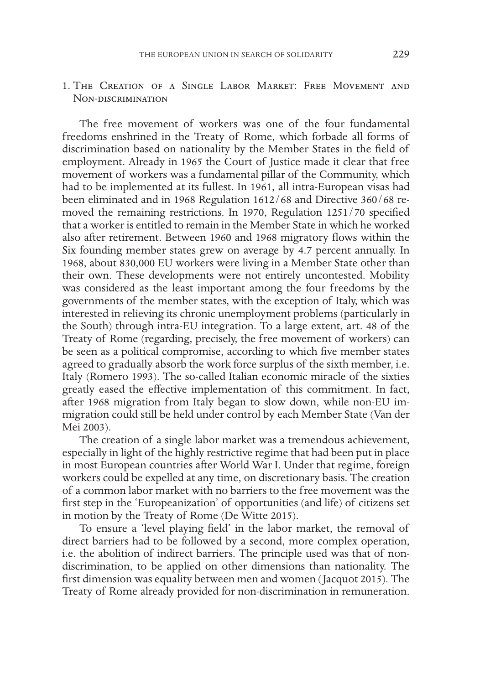# 1. The Creation of a Single Labor Market: Free Movement and Non-discrimination

The free movement of workers was one of the four fundamental freedoms enshrined in the Treaty of Rome, which forbade all forms of discrimination based on nationality by the Member States in the field of employment. Already in 1965 the Court of Justice made it clear that free movement of workers was a fundamental pillar of the Community, which had to be implemented at its fullest. In 1961, all intra-European visas had been eliminated and in 1968 Regulation 1612/68 and Directive 360/68 removed the remaining restrictions. In 1970, Regulation 1251/70 specified that a worker is entitled to remain in the Member State in which he worked also after retirement. Between 1960 and 1968 migratory flows within the Six founding member states grew on average by 4.7 percent annually. In 1968, about 830,000 EU workers were living in a Member State other than their own. These developments were not entirely uncontested. Mobility was considered as the least important among the four freedoms by the governments of the member states, with the exception of Italy, which was interested in relieving its chronic unemployment problems (particularly in the South) through intra-EU integration. To a large extent, art. 48 of the Treaty of Rome (regarding, precisely, the free movement of workers) can be seen as a political compromise, according to which five member states agreed to gradually absorb the work force surplus of the sixth member, i.e. Italy (Romero 1993). The so-called Italian economic miracle of the sixties greatly eased the effective implementation of this commitment. In fact, after 1968 migration from Italy began to slow down, while non-EU immigration could still be held under control by each Member State (Van der Mei 2003).

The creation of a single labor market was a tremendous achievement, especially in light of the highly restrictive regime that had been put in place in most European countries after World War I. Under that regime, foreign workers could be expelled at any time, on discretionary basis. The creation of a common labor market with no barriers to the free movement was the first step in the 'Europeanization' of opportunities (and life) of citizens set in motion by the Treaty of Rome (De Witte 2015).

To ensure a 'level playing field' in the labor market, the removal of direct barriers had to be followed by a second, more complex operation, i.e. the abolition of indirect barriers. The principle used was that of nondiscrimination, to be applied on other dimensions than nationality. The first dimension was equality between men and women (Jacquot 2015). The Treaty of Rome already provided for non-discrimination in remuneration.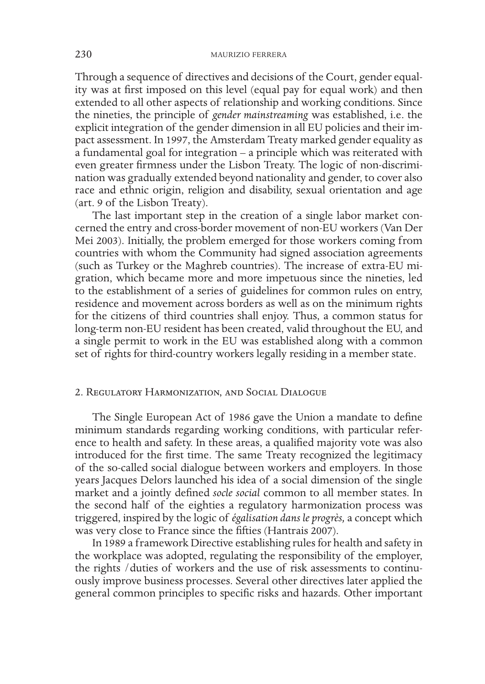Through a sequence of directives and decisions of the Court, gender equality was at first imposed on this level (equal pay for equal work) and then extended to all other aspects of relationship and working conditions. Since the nineties, the principle of *gender mainstreaming* was established, i.e. the explicit integration of the gender dimension in all EU policies and their impact assessment. In 1997, the Amsterdam Treaty marked gender equality as a fundamental goal for integration – a principle which was reiterated with even greater firmness under the Lisbon Treaty. The logic of non-discrimination was gradually extended beyond nationality and gender, to cover also race and ethnic origin, religion and disability, sexual orientation and age (art. 9 of the Lisbon Treaty).

The last important step in the creation of a single labor market concerned the entry and cross-border movement of non-EU workers (Van Der Mei 2003). Initially, the problem emerged for those workers coming from countries with whom the Community had signed association agreements (such as Turkey or the Maghreb countries). The increase of extra-EU migration, which became more and more impetuous since the nineties, led to the establishment of a series of guidelines for common rules on entry, residence and movement across borders as well as on the minimum rights for the citizens of third countries shall enjoy. Thus, a common status for long-term non-EU resident has been created, valid throughout the EU, and a single permit to work in the EU was established along with a common set of rights for third-country workers legally residing in a member state.

#### 2. Regulatory Harmonization, and Social Dialogue

The Single European Act of 1986 gave the Union a mandate to define minimum standards regarding working conditions, with particular reference to health and safety. In these areas, a qualified majority vote was also introduced for the first time. The same Treaty recognized the legitimacy of the so-called social dialogue between workers and employers. In those years Jacques Delors launched his idea of a social dimension of the single market and a jointly defined *socle social* common to all member states. In the second half of the eighties a regulatory harmonization process was triggered, inspired by the logic of *égalisation dans le progrès,* a concept which was very close to France since the fifties (Hantrais 2007).

In 1989 a framework Directive establishing rules for health and safety in the workplace was adopted, regulating the responsibility of the employer, the rights /duties of workers and the use of risk assessments to continuously improve business processes. Several other directives later applied the general common principles to specific risks and hazards. Other important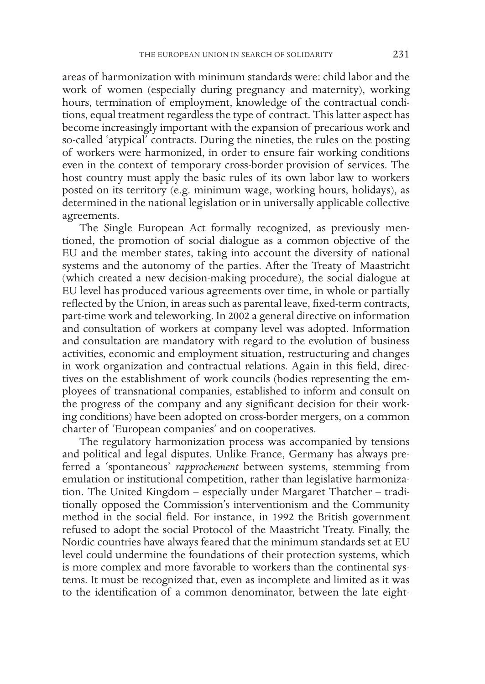areas of harmonization with minimum standards were: child labor and the work of women (especially during pregnancy and maternity), working hours, termination of employment, knowledge of the contractual conditions, equal treatment regardless the type of contract. This latter aspect has become increasingly important with the expansion of precarious work and so-called 'atypical' contracts. During the nineties, the rules on the posting of workers were harmonized, in order to ensure fair working conditions even in the context of temporary cross-border provision of services. The host country must apply the basic rules of its own labor law to workers posted on its territory (e.g. minimum wage, working hours, holidays), as determined in the national legislation or in universally applicable collective agreements.

The Single European Act formally recognized, as previously mentioned, the promotion of social dialogue as a common objective of the EU and the member states, taking into account the diversity of national systems and the autonomy of the parties. After the Treaty of Maastricht (which created a new decision-making procedure), the social dialogue at EU level has produced various agreements over time, in whole or partially reflected by the Union, in areas such as parental leave, fixed-term contracts, part-time work and teleworking. In 2002 a general directive on information and consultation of workers at company level was adopted. Information and consultation are mandatory with regard to the evolution of business activities, economic and employment situation, restructuring and changes in work organization and contractual relations. Again in this field, directives on the establishment of work councils (bodies representing the employees of transnational companies, established to inform and consult on the progress of the company and any significant decision for their working conditions) have been adopted on cross-border mergers, on a common charter of 'European companies' and on cooperatives.

The regulatory harmonization process was accompanied by tensions and political and legal disputes. Unlike France, Germany has always preferred a 'spontaneous' *rapprochement* between systems, stemming from emulation or institutional competition, rather than legislative harmonization. The United Kingdom – especially under Margaret Thatcher – traditionally opposed the Commission's interventionism and the Community method in the social field. For instance, in 1992 the British government refused to adopt the social Protocol of the Maastricht Treaty. Finally, the Nordic countries have always feared that the minimum standards set at EU level could undermine the foundations of their protection systems, which is more complex and more favorable to workers than the continental systems. It must be recognized that, even as incomplete and limited as it was to the identification of a common denominator, between the late eight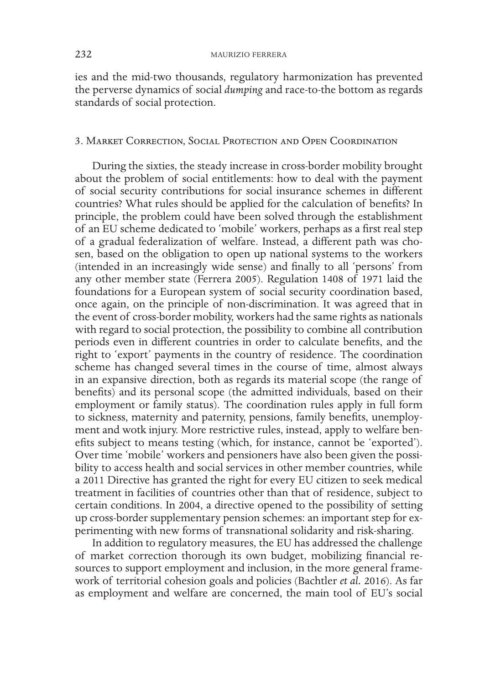ies and the mid-two thousands, regulatory harmonization has prevented the perverse dynamics of social *dumping* and race-to-the bottom as regards standards of social protection.

## 3. Market Correction, Social Protection and Open Coordination

During the sixties, the steady increase in cross-border mobility brought about the problem of social entitlements: how to deal with the payment of social security contributions for social insurance schemes in different countries? What rules should be applied for the calculation of benefits? In principle, the problem could have been solved through the establishment of an EU scheme dedicated to 'mobile' workers, perhaps as a first real step of a gradual federalization of welfare. Instead, a different path was chosen, based on the obligation to open up national systems to the workers (intended in an increasingly wide sense) and finally to all 'persons' from any other member state (Ferrera 2005). Regulation 1408 of 1971 laid the foundations for a European system of social security coordination based, once again, on the principle of non-discrimination. It was agreed that in the event of cross-border mobility, workers had the same rights as nationals with regard to social protection, the possibility to combine all contribution periods even in different countries in order to calculate benefits, and the right to 'export' payments in the country of residence. The coordination scheme has changed several times in the course of time, almost always in an expansive direction, both as regards its material scope (the range of benefits) and its personal scope (the admitted individuals, based on their employment or family status). The coordination rules apply in full form to sickness, maternity and paternity, pensions, family benefits, unemployment and wotk injury. More restrictive rules, instead, apply to welfare benefits subject to means testing (which, for instance, cannot be 'exported'). Over time 'mobile' workers and pensioners have also been given the possibility to access health and social services in other member countries, while a 2011 Directive has granted the right for every EU citizen to seek medical treatment in facilities of countries other than that of residence, subject to certain conditions. In 2004, a directive opened to the possibility of setting up cross-border supplementary pension schemes: an important step for experimenting with new forms of transnational solidarity and risk-sharing.

In addition to regulatory measures, the EU has addressed the challenge of market correction thorough its own budget, mobilizing financial resources to support employment and inclusion, in the more general framework of territorial cohesion goals and policies (Bachtler *et al.* 2016). As far as employment and welfare are concerned, the main tool of EU's social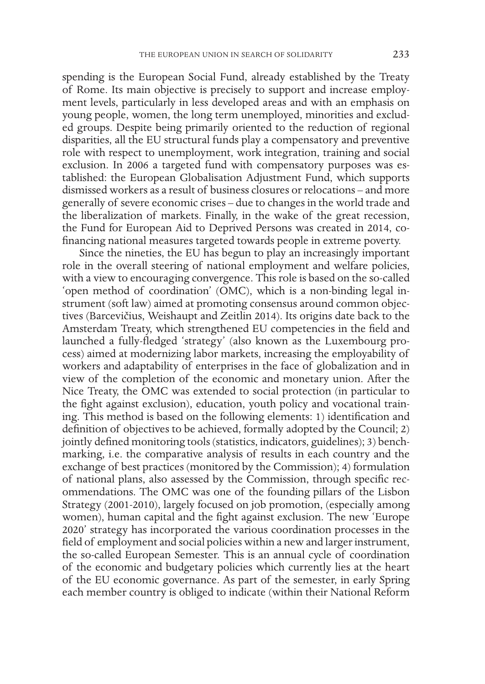spending is the European Social Fund, already established by the Treaty of Rome. Its main objective is precisely to support and increase employment levels, particularly in less developed areas and with an emphasis on young people, women, the long term unemployed, minorities and excluded groups. Despite being primarily oriented to the reduction of regional disparities, all the EU structural funds play a compensatory and preventive role with respect to unemployment, work integration, training and social exclusion. In 2006 a targeted fund with compensatory purposes was established: the European Globalisation Adjustment Fund, which supports dismissed workers as a result of business closures or relocations – and more generally of severe economic crises – due to changes in the world trade and the liberalization of markets. Finally, in the wake of the great recession, the Fund for European Aid to Deprived Persons was created in 2014, cofinancing national measures targeted towards people in extreme poverty.

Since the nineties, the EU has begun to play an increasingly important role in the overall steering of national employment and welfare policies, with a view to encouraging convergence. This role is based on the so-called 'open method of coordination' (OMC), which is a non-binding legal instrument (soft law) aimed at promoting consensus around common objectives (Barcevičius, Weishaupt and Zeitlin 2014). Its origins date back to the Amsterdam Treaty, which strengthened EU competencies in the field and launched a fully-fledged 'strategy' (also known as the Luxembourg process) aimed at modernizing labor markets, increasing the employability of workers and adaptability of enterprises in the face of globalization and in view of the completion of the economic and monetary union. After the Nice Treaty, the OMC was extended to social protection (in particular to the fight against exclusion), education, youth policy and vocational training. This method is based on the following elements: 1) identification and definition of objectives to be achieved, formally adopted by the Council; 2) jointly defined monitoring tools (statistics, indicators, guidelines); 3) benchmarking, i.e. the comparative analysis of results in each country and the exchange of best practices (monitored by the Commission); 4) formulation of national plans, also assessed by the Commission, through specific recommendations. The OMC was one of the founding pillars of the Lisbon Strategy (2001-2010), largely focused on job promotion, (especially among women), human capital and the fight against exclusion. The new 'Europe 2020' strategy has incorporated the various coordination processes in the field of employment and social policies within a new and larger instrument, the so-called European Semester. This is an annual cycle of coordination of the economic and budgetary policies which currently lies at the heart of the EU economic governance. As part of the semester, in early Spring each member country is obliged to indicate (within their National Reform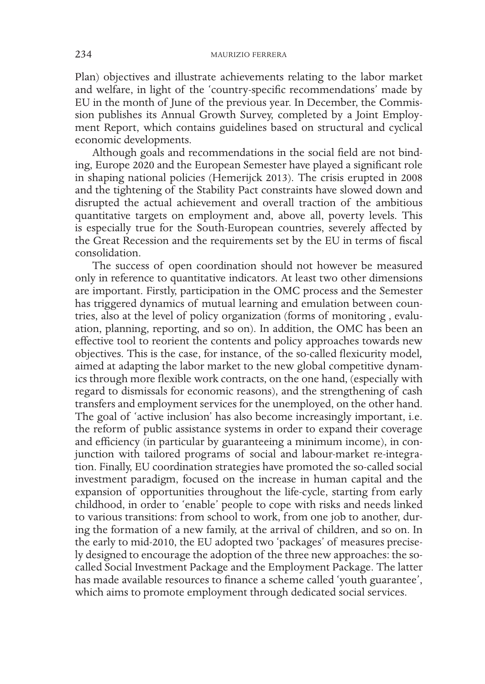Plan) objectives and illustrate achievements relating to the labor market and welfare, in light of the 'country-specific recommendations' made by EU in the month of June of the previous year. In December, the Commission publishes its Annual Growth Survey, completed by a Joint Employment Report, which contains guidelines based on structural and cyclical economic developments.

Although goals and recommendations in the social field are not binding, Europe 2020 and the European Semester have played a significant role in shaping national policies (Hemerijck 2013). The crisis erupted in 2008 and the tightening of the Stability Pact constraints have slowed down and disrupted the actual achievement and overall traction of the ambitious quantitative targets on employment and, above all, poverty levels. This is especially true for the South-European countries, severely affected by the Great Recession and the requirements set by the EU in terms of fiscal consolidation.

The success of open coordination should not however be measured only in reference to quantitative indicators. At least two other dimensions are important. Firstly, participation in the OMC process and the Semester has triggered dynamics of mutual learning and emulation between countries, also at the level of policy organization (forms of monitoring , evaluation, planning, reporting, and so on). In addition, the OMC has been an effective tool to reorient the contents and policy approaches towards new objectives. This is the case, for instance, of the so-called flexicurity model*,* aimed at adapting the labor market to the new global competitive dynamics through more flexible work contracts, on the one hand, (especially with regard to dismissals for economic reasons), and the strengthening of cash transfers and employment services for the unemployed, on the other hand. The goal of 'active inclusion' has also become increasingly important, i.e. the reform of public assistance systems in order to expand their coverage and efficiency (in particular by guaranteeing a minimum income), in conjunction with tailored programs of social and labour-market re-integration. Finally, EU coordination strategies have promoted the so-called social investment paradigm, focused on the increase in human capital and the expansion of opportunities throughout the life-cycle, starting from early childhood, in order to 'enable' people to cope with risks and needs linked to various transitions: from school to work, from one job to another, during the formation of a new family, at the arrival of children, and so on. In the early to mid-2010, the EU adopted two 'packages' of measures precisely designed to encourage the adoption of the three new approaches: the socalled Social Investment Package and the Employment Package. The latter has made available resources to finance a scheme called 'youth guarantee', which aims to promote employment through dedicated social services.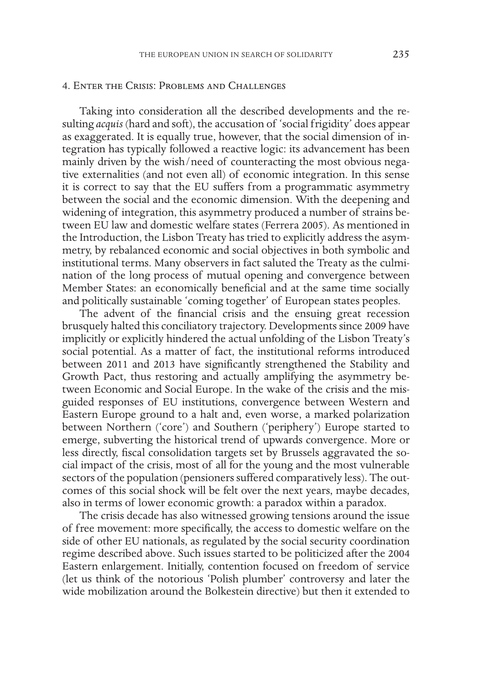### 4. Enter the Crisis: Problems and Challenges

Taking into consideration all the described developments and the resulting *acquis* (hard and soft), the accusation of 'social frigidity' does appear as exaggerated. It is equally true, however, that the social dimension of integration has typically followed a reactive logic: its advancement has been mainly driven by the wish/need of counteracting the most obvious negative externalities (and not even all) of economic integration. In this sense it is correct to say that the EU suffers from a programmatic asymmetry between the social and the economic dimension. With the deepening and widening of integration, this asymmetry produced a number of strains between EU law and domestic welfare states (Ferrera 2005). As mentioned in the Introduction, the Lisbon Treaty has tried to explicitly address the asymmetry, by rebalanced economic and social objectives in both symbolic and institutional terms. Many observers in fact saluted the Treaty as the culmination of the long process of mutual opening and convergence between Member States: an economically beneficial and at the same time socially and politically sustainable 'coming together' of European states peoples.

The advent of the financial crisis and the ensuing great recession brusquely halted this conciliatory trajectory. Developments since 2009 have implicitly or explicitly hindered the actual unfolding of the Lisbon Treaty's social potential. As a matter of fact, the institutional reforms introduced between 2011 and 2013 have significantly strengthened the Stability and Growth Pact, thus restoring and actually amplifying the asymmetry between Economic and Social Europe. In the wake of the crisis and the misguided responses of EU institutions, convergence between Western and Eastern Europe ground to a halt and, even worse, a marked polarization between Northern ('core') and Southern ('periphery') Europe started to emerge, subverting the historical trend of upwards convergence. More or less directly, fiscal consolidation targets set by Brussels aggravated the social impact of the crisis, most of all for the young and the most vulnerable sectors of the population (pensioners suffered comparatively less). The outcomes of this social shock will be felt over the next years, maybe decades, also in terms of lower economic growth: a paradox within a paradox.

The crisis decade has also witnessed growing tensions around the issue of free movement: more specifically, the access to domestic welfare on the side of other EU nationals, as regulated by the social security coordination regime described above. Such issues started to be politicized after the 2004 Eastern enlargement. Initially, contention focused on freedom of service (let us think of the notorious 'Polish plumber' controversy and later the wide mobilization around the Bolkestein directive) but then it extended to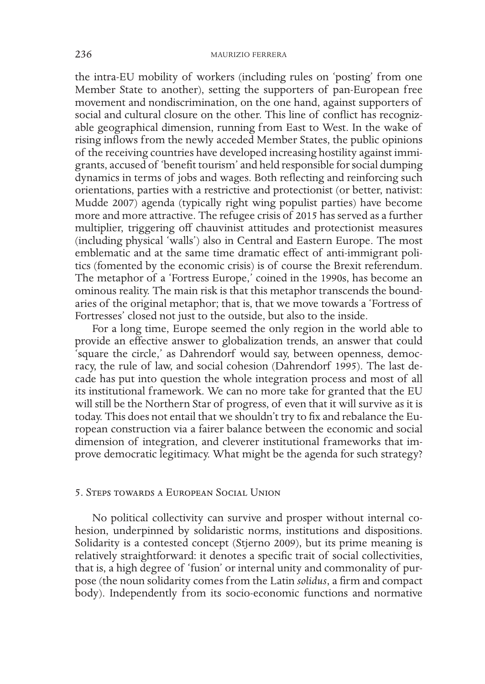the intra-EU mobility of workers (including rules on 'posting' from one Member State to another), setting the supporters of pan-European free movement and nondiscrimination, on the one hand, against supporters of social and cultural closure on the other. This line of conflict has recognizable geographical dimension, running from East to West. In the wake of rising inflows from the newly acceded Member States, the public opinions of the receiving countries have developed increasing hostility against immigrants, accused of 'benefit tourism' and held responsible for social dumping dynamics in terms of jobs and wages. Both reflecting and reinforcing such orientations, parties with a restrictive and protectionist (or better, nativist: Mudde 2007) agenda (typically right wing populist parties) have become more and more attractive. The refugee crisis of 2015 has served as a further multiplier, triggering off chauvinist attitudes and protectionist measures (including physical 'walls') also in Central and Eastern Europe. The most emblematic and at the same time dramatic effect of anti-immigrant politics (fomented by the economic crisis) is of course the Brexit referendum. The metaphor of a 'Fortress Europe,' coined in the 1990s, has become an ominous reality. The main risk is that this metaphor transcends the boundaries of the original metaphor; that is, that we move towards a 'Fortress of Fortresses' closed not just to the outside, but also to the inside.

For a long time, Europe seemed the only region in the world able to provide an effective answer to globalization trends, an answer that could 'square the circle,' as Dahrendorf would say, between openness, democracy, the rule of law, and social cohesion (Dahrendorf 1995). The last decade has put into question the whole integration process and most of all its institutional framework. We can no more take for granted that the EU will still be the Northern Star of progress, of even that it will survive as it is today. This does not entail that we shouldn't try to fix and rebalance the European construction via a fairer balance between the economic and social dimension of integration, and cleverer institutional frameworks that improve democratic legitimacy. What might be the agenda for such strategy?

#### 5. Steps towards a European Social Union

No political collectivity can survive and prosper without internal cohesion, underpinned by solidaristic norms, institutions and dispositions. Solidarity is a contested concept (Stjerno 2009), but its prime meaning is relatively straightforward: it denotes a specific trait of social collectivities, that is, a high degree of 'fusion' or internal unity and commonality of purpose (the noun solidarity comes from the Latin *solidus*, a firm and compact body). Independently from its socio-economic functions and normative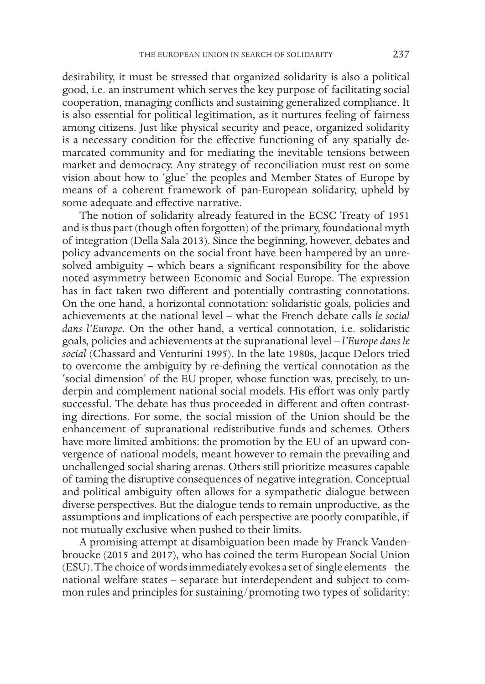desirability, it must be stressed that organized solidarity is also a political good, i.e. an instrument which serves the key purpose of facilitating social cooperation, managing conflicts and sustaining generalized compliance. It is also essential for political legitimation, as it nurtures feeling of fairness among citizens. Just like physical security and peace, organized solidarity is a necessary condition for the effective functioning of any spatially demarcated community and for mediating the inevitable tensions between market and democracy. Any strategy of reconciliation must rest on some vision about how to 'glue' the peoples and Member States of Europe by means of a coherent framework of pan-European solidarity, upheld by some adequate and effective narrative.

The notion of solidarity already featured in the ECSC Treaty of 1951 and is thus part (though often forgotten) of the primary, foundational myth of integration (Della Sala 2013). Since the beginning, however, debates and policy advancements on the social front have been hampered by an unresolved ambiguity – which bears a significant responsibility for the above noted asymmetry between Economic and Social Europe. The expression has in fact taken two different and potentially contrasting connotations. On the one hand, a horizontal connotation: solidaristic goals, policies and achievements at the national level – what the French debate calls *le social dans l'Europe*. On the other hand, a vertical connotation, i.e. solidaristic goals, policies and achievements at the supranational level – *l'Europe dans le social* (Chassard and Venturini 1995). In the late 1980s, Jacque Delors tried to overcome the ambiguity by re-defining the vertical connotation as the 'social dimension' of the EU proper, whose function was, precisely, to underpin and complement national social models. His effort was only partly successful. The debate has thus proceeded in different and often contrasting directions. For some, the social mission of the Union should be the enhancement of supranational redistributive funds and schemes. Others have more limited ambitions: the promotion by the EU of an upward convergence of national models, meant however to remain the prevailing and unchallenged social sharing arenas. Others still prioritize measures capable of taming the disruptive consequences of negative integration. Conceptual and political ambiguity often allows for a sympathetic dialogue between diverse perspectives. But the dialogue tends to remain unproductive, as the assumptions and implications of each perspective are poorly compatible, if not mutually exclusive when pushed to their limits.

A promising attempt at disambiguation been made by Franck Vandenbroucke (2015 and 2017), who has coined the term European Social Union (ESU). The choice of words immediately evokes a set of single elements – the national welfare states – separate but interdependent and subject to common rules and principles for sustaining/promoting two types of solidarity: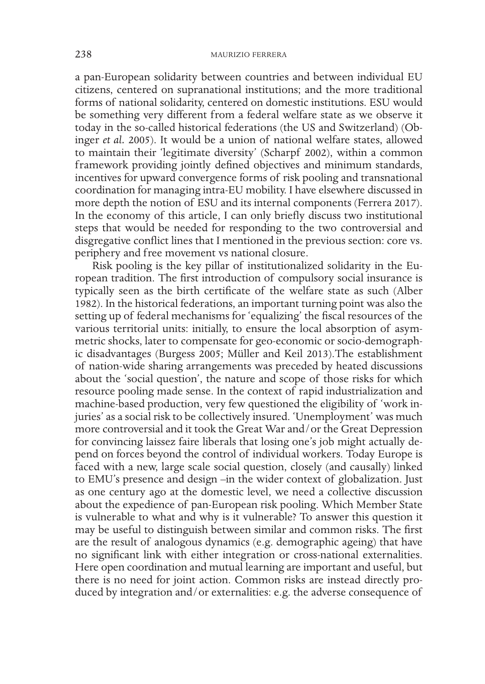a pan-European solidarity between countries and between individual EU citizens, centered on supranational institutions; and the more traditional forms of national solidarity, centered on domestic institutions. ESU would be something very different from a federal welfare state as we observe it today in the so-called historical federations (the US and Switzerland) (Obinger *et al.* 2005). It would be a union of national welfare states, allowed to maintain their 'legitimate diversity' (Scharpf 2002), within a common framework providing jointly defined objectives and minimum standards, incentives for upward convergence forms of risk pooling and transnational coordination for managing intra-EU mobility. I have elsewhere discussed in more depth the notion of ESU and its internal components (Ferrera 2017). In the economy of this article, I can only briefly discuss two institutional steps that would be needed for responding to the two controversial and disgregative conflict lines that I mentioned in the previous section: core vs. periphery and free movement vs national closure.

Risk pooling is the key pillar of institutionalized solidarity in the European tradition. The first introduction of compulsory social insurance is typically seen as the birth certificate of the welfare state as such (Alber 1982). In the historical federations, an important turning point was also the setting up of federal mechanisms for 'equalizing' the fiscal resources of the various territorial units: initially, to ensure the local absorption of asymmetric shocks, later to compensate for geo-economic or socio-demographic disadvantages (Burgess 2005; Müller and Keil 2013).The establishment of nation-wide sharing arrangements was preceded by heated discussions about the 'social question', the nature and scope of those risks for which resource pooling made sense. In the context of rapid industrialization and machine-based production, very few questioned the eligibility of 'work injuries' as a social risk to be collectively insured. 'Unemployment' was much more controversial and it took the Great War and/or the Great Depression for convincing laissez faire liberals that losing one's job might actually depend on forces beyond the control of individual workers. Today Europe is faced with a new, large scale social question, closely (and causally) linked to EMU's presence and design –in the wider context of globalization. Just as one century ago at the domestic level, we need a collective discussion about the expedience of pan-European risk pooling. Which Member State is vulnerable to what and why is it vulnerable? To answer this question it may be useful to distinguish between similar and common risks. The first are the result of analogous dynamics (e.g. demographic ageing) that have no significant link with either integration or cross-national externalities. Here open coordination and mutual learning are important and useful, but there is no need for joint action. Common risks are instead directly produced by integration and/or externalities: e.g. the adverse consequence of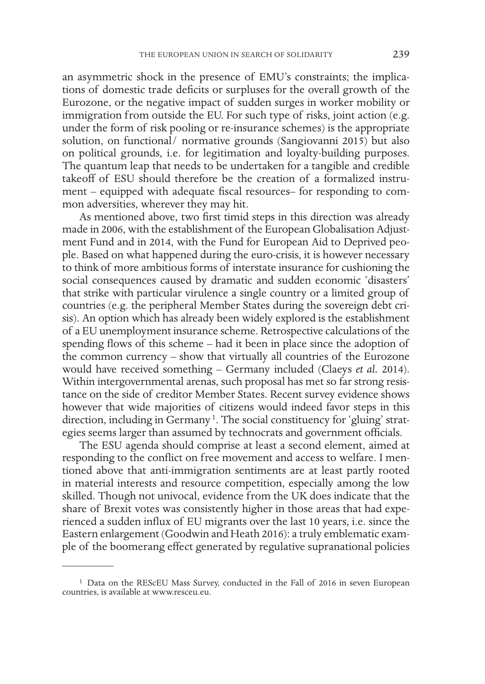an asymmetric shock in the presence of EMU's constraints; the implications of domestic trade deficits or surpluses for the overall growth of the Eurozone, or the negative impact of sudden surges in worker mobility or immigration from outside the EU. For such type of risks, joint action (e.g. under the form of risk pooling or re-insurance schemes) is the appropriate solution, on functional/ normative grounds (Sangiovanni 2015) but also on political grounds, i.e. for legitimation and loyalty-building purposes. The quantum leap that needs to be undertaken for a tangible and credible takeoff of ESU should therefore be the creation of a formalized instrument – equipped with adequate fiscal resources– for responding to common adversities, wherever they may hit.

As mentioned above, two first timid steps in this direction was already made in 2006, with the establishment of the European Globalisation Adjustment Fund and in 2014, with the Fund for European Aid to Deprived people. Based on what happened during the euro-crisis, it is however necessary to think of more ambitious forms of interstate insurance for cushioning the social consequences caused by dramatic and sudden economic 'disasters' that strike with particular virulence a single country or a limited group of countries (e.g. the peripheral Member States during the sovereign debt crisis). An option which has already been widely explored is the establishment of a EU unemployment insurance scheme. Retrospective calculations of the spending flows of this scheme – had it been in place since the adoption of the common currency – show that virtually all countries of the Eurozone would have received something – Germany included (Claeys *et al.* 2014). Within intergovernmental arenas, such proposal has met so far strong resistance on the side of creditor Member States. Recent survey evidence shows however that wide majorities of citizens would indeed favor steps in this direction, including in Germany<sup>1</sup>. The social constituency for 'gluing' strategies seems larger than assumed by technocrats and government officials.

The ESU agenda should comprise at least a second element, aimed at responding to the conflict on free movement and access to welfare. I mentioned above that anti-immigration sentiments are at least partly rooted in material interests and resource competition, especially among the low skilled. Though not univocal, evidence from the UK does indicate that the share of Brexit votes was consistently higher in those areas that had experienced a sudden influx of EU migrants over the last 10 years, i.e. since the Eastern enlargement (Goodwin and Heath 2016): a truly emblematic example of the boomerang effect generated by regulative supranational policies

<sup>&</sup>lt;sup>1</sup> Data on the REScEU Mass Survey, conducted in the Fall of 2016 in seven European countries, is available at www.resceu.eu.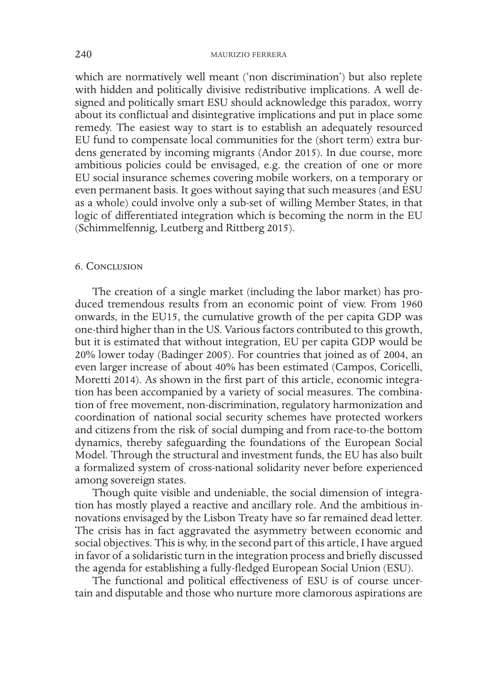which are normatively well meant ('non discrimination') but also replete with hidden and politically divisive redistributive implications. A well designed and politically smart ESU should acknowledge this paradox, worry about its conflictual and disintegrative implications and put in place some remedy. The easiest way to start is to establish an adequately resourced EU fund to compensate local communities for the (short term) extra burdens generated by incoming migrants (Andor 2015). In due course, more ambitious policies could be envisaged, e.g. the creation of one or more EU social insurance schemes covering mobile workers, on a temporary or even permanent basis. It goes without saying that such measures (and ESU as a whole) could involve only a sub-set of willing Member States, in that logic of differentiated integration which is becoming the norm in the EU (Schimmelfennig, Leutberg and Rittberg 2015).

#### 6. Conclusion

The creation of a single market (including the labor market) has produced tremendous results from an economic point of view. From 1960 onwards, in the EU15, the cumulative growth of the per capita GDP was one-third higher than in the US. Various factors contributed to this growth, but it is estimated that without integration, EU per capita GDP would be 20% lower today (Badinger 2005). For countries that joined as of 2004, an even larger increase of about 40% has been estimated (Campos, Coricelli, Moretti 2014). As shown in the first part of this article, economic integration has been accompanied by a variety of social measures. The combination of free movement, non-discrimination, regulatory harmonization and coordination of national social security schemes have protected workers and citizens from the risk of social dumping and from race-to-the bottom dynamics, thereby safeguarding the foundations of the European Social Model. Through the structural and investment funds, the EU has also built a formalized system of cross-national solidarity never before experienced among sovereign states.

Though quite visible and undeniable, the social dimension of integration has mostly played a reactive and ancillary role. And the ambitious innovations envisaged by the Lisbon Treaty have so far remained dead letter. The crisis has in fact aggravated the asymmetry between economic and social objectives. This is why, in the second part of this article, I have argued in favor of a solidaristic turn in the integration process and briefly discussed the agenda for establishing a fully-fledged European Social Union (ESU).

The functional and political effectiveness of ESU is of course uncertain and disputable and those who nurture more clamorous aspirations are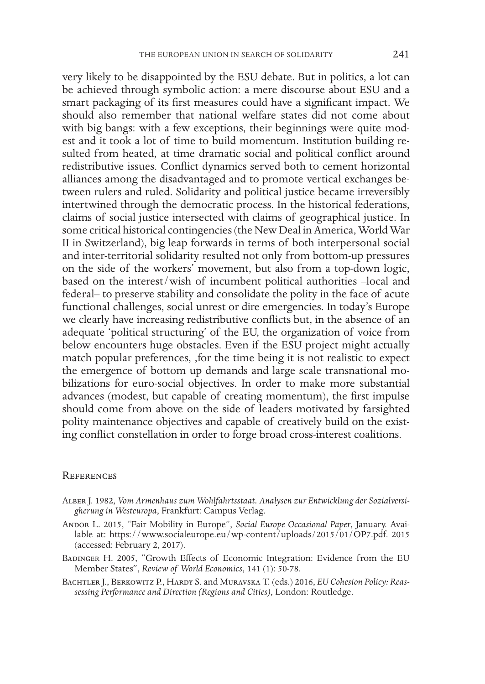very likely to be disappointed by the ESU debate. But in politics, a lot can be achieved through symbolic action: a mere discourse about ESU and a smart packaging of its first measures could have a significant impact. We should also remember that national welfare states did not come about with big bangs: with a few exceptions, their beginnings were quite modest and it took a lot of time to build momentum. Institution building resulted from heated, at time dramatic social and political conflict around redistributive issues. Conflict dynamics served both to cement horizontal alliances among the disadvantaged and to promote vertical exchanges between rulers and ruled. Solidarity and political justice became irreversibly intertwined through the democratic process. In the historical federations, claims of social justice intersected with claims of geographical justice. In some critical historical contingencies (the New Deal in America, World War II in Switzerland), big leap forwards in terms of both interpersonal social and inter-territorial solidarity resulted not only from bottom-up pressures on the side of the workers' movement, but also from a top-down logic, based on the interest/wish of incumbent political authorities –local and federal– to preserve stability and consolidate the polity in the face of acute functional challenges, social unrest or dire emergencies. In today's Europe we clearly have increasing redistributive conflicts but, in the absence of an adequate 'political structuring' of the EU, the organization of voice from below encounters huge obstacles. Even if the ESU project might actually match popular preferences, ,for the time being it is not realistic to expect the emergence of bottom up demands and large scale transnational mobilizations for euro-social objectives. In order to make more substantial advances (modest, but capable of creating momentum), the first impulse should come from above on the side of leaders motivated by farsighted polity maintenance objectives and capable of creatively build on the existing conflict constellation in order to forge broad cross-interest coalitions.

#### **REFERENCES**

- Alber J. 1982, *Vom Armenhaus zum Wohlfahrtsstaat. Analysen zur Entwicklung der Sozialversigherung in Westeuropa*, Frankfurt: Campus Verlag.
- Andor L. 2015, "Fair Mobility in Europe", *Social Europe Occasional Paper*, January. Available at: https://www.socialeurope.eu/wp-content/uploads/2015/01/OP7.pdf. 2015 (accessed: February 2, 2017).
- Badinger H. 2005, "Growth Effects of Economic Integration: Evidence from the EU Member States", *Review of World Economics*, 141 (1): 50-78.
- BACHTLER J., BERKOWITZ P., HARDY S. and MURAVSKA T. (eds.) 2016, *EU Cohesion Policy: Reassessing Performance and Direction (Regions and Cities)*, London: Routledge.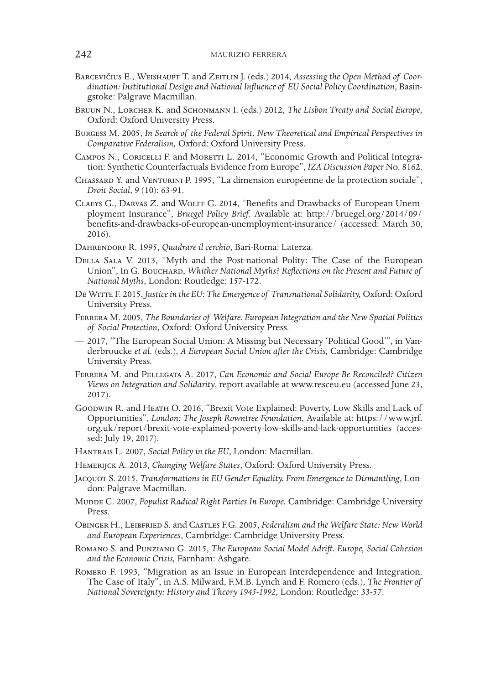- BARCEVIČIUS E., WEISHAUPT T. and ZEITLIN J. (eds.) 2014, *Assessing the Open Method of Coordination: Institutional Design and National Influence of EU Social Policy Coordination*, Basingstoke: Palgrave Macmillan.
- Bruun N., Lorcher K. and Schonmann I. (eds.) 2012, *The Lisbon Treaty and Social Europe,*  Oxford: Oxford University Press.
- Burgess M. 2005, *In Search of the Federal Spirit. New Theoretical and Empirical Perspectives in Comparative Federalism,* Oxford: Oxford University Press.
- CAMPOS N., CORICELLI F. and MORETTI L. 2014, "Economic Growth and Political Integration: Synthetic Counterfactuals Evidence from Europe", *IZA Discussion Paper* No. 8162.
- CHASSARD Y. and VENTURINI P. 1995, "La dimension européenne de la protection sociale", *Droit Social*, 9 (10): 63-91.
- CLAEYS G., DARVAS Z. and WOLFF G. 2014, "Benefits and Drawbacks of European Unemployment Insurance", *Bruegel Policy Brief*. Available at: http://bruegel.org/2014/09/ benefits-and-drawbacks-of-european-unemployment-insurance/ (accessed: March 30, 2016).
- Dahrendorf R. 1995, *Quadrare il cerchio*, Bari-Roma: Laterza.
- Della Sala V. 2013, "Myth and the Post-national Polity: The Case of the European Union", In G. Bouchard, *Whither National Myths? Reflections on the Present and Future of National Myths*, London: Routledge: 157-172.
- De Witte F. 2015, *Justice in the EU: The Emergence of Transnational Solidarity,* Oxford: Oxford University Press.
- Ferrera M. 2005, *The Boundaries of Welfare. European Integration and the New Spatial Politics of Social Protection*, Oxford: Oxford University Press.
- 2017, "The European Social Union: A Missing but Necessary 'Political Good'", in Vanderbroucke *et al.* (eds.), *A European Social Union after the Crisis,* Cambridge: Cambridge University Press.
- Ferrera M. and Pellegata A. 2017, *Can Economic and Social Europe Be Reconciled? Citizen Views on Integration and Solidarity*, report available at www.resceu.eu (accessed June 23, 2017).
- Goodwin R. and Heath O. 2016, "Brexit Vote Explained: Poverty, Low Skills and Lack of Opportunities", *London: The Joseph Rowntree Foundation*, Available at: https://www.jrf. org.uk/report/brexit-vote-explained-poverty-low-skills-and-lack-opportunities (accessed: July 19, 2017).
- Hantrais L. 2007, *Social Policy in the EU*, London: Macmillan.
- Hemerijck A. 2013, *Changing Welfare States*, Oxford: Oxford University Press.
- Jacquot S. 2015, *Transformations in EU Gender Equality. From Emergence to Dismantling*, London: Palgrave Macmillan.
- Mudde C. 2007, *Populist Radical Right Parties In Europe.* Cambridge: Cambridge University Press.
- Obinger H., Leibfried S. and Castles F.G. 2005, *Federalism and the Welfare State: New World and European Experiences*, Cambridge: Cambridge University Press.
- Romano S. and Punziano G. 2015, *The European Social Model Adrift. Europe, Social Cohesion and the Economic Crisis,* Farnham: Ashgate.
- Romero F. 1993, "Migration as an Issue in European Interdependence and Integration. The Case of Italy", in A.S. Milward, F.M.B. Lynch and F. Romero (eds.), *The Frontier of National Sovereignty: History and Theory 1945-1992,* London: Routledge: 33-57.